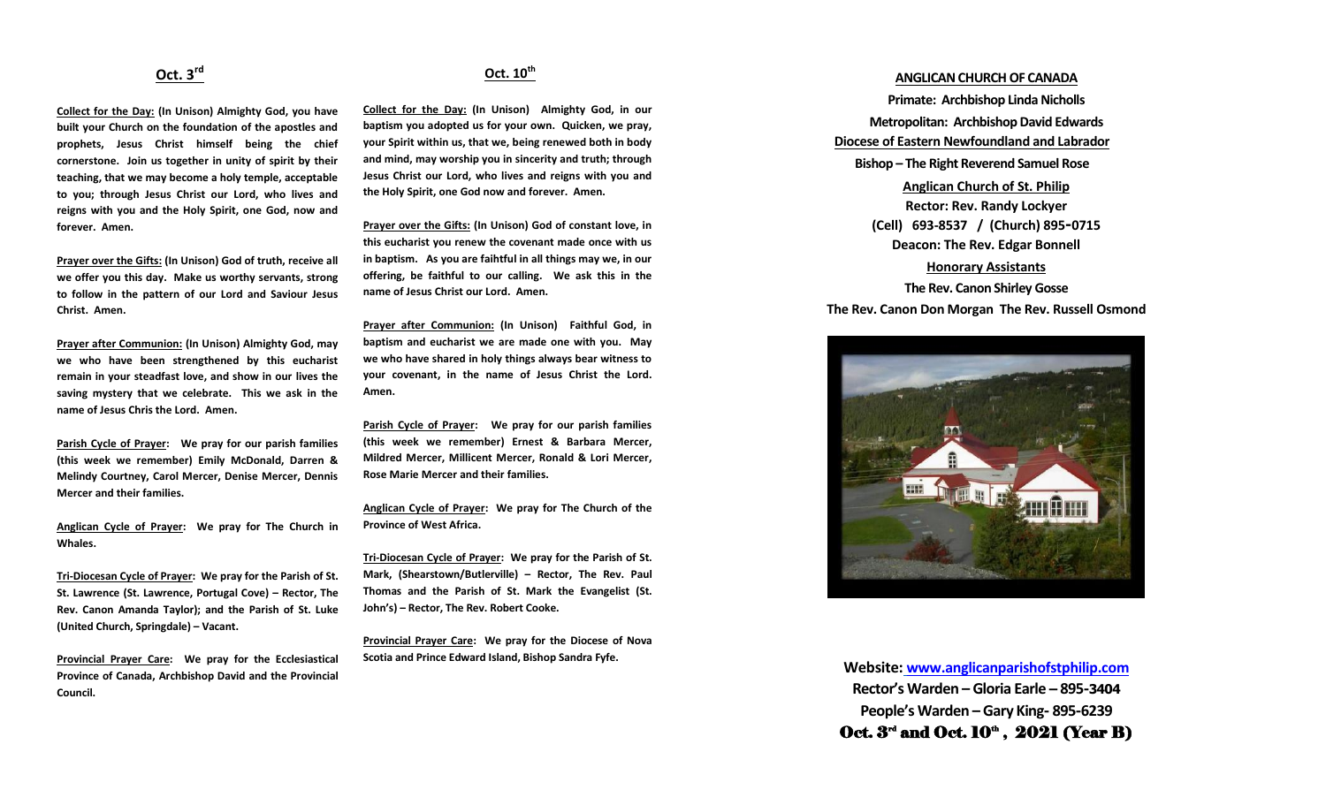## **Oct. 3rd**

**Collect for the Day: (In Unison) Almighty God, you have built your Church on the foundation of the apostles and prophets, Jesus Christ himself being the chief cornerstone. Join us together in unity of spirit by their teaching, that we may become a holy temple, acceptable to you; through Jesus Christ our Lord, who lives and reigns with you and the Holy Spirit, one God, now and forever. Amen.**

**Prayer over the Gifts: (In Unison) God of truth, receive all we offer you this day. Make us worthy servants, strong to follow in the pattern of our Lord and Saviour Jesus Christ. Amen.**

**Prayer after Communion: (In Unison) Almighty God, may we who have been strengthened by this eucharist remain in your steadfast love, and show in our lives the saving mystery that we celebrate. This we ask in the name of Jesus Chris the Lord. Amen.**

**Parish Cycle of Prayer: We pray for our parish families (this week we remember) Emily McDonald, Darren & Melindy Courtney, Carol Mercer, Denise Mercer, Dennis Mercer and their families.**

**Anglican Cycle of Prayer: We pray for The Church in Whales.**

**Tri-Diocesan Cycle of Prayer: We pray for the Parish of St. St. Lawrence (St. Lawrence, Portugal Cove) – Rector, The Rev. Canon Amanda Taylor); and the Parish of St. Luke (United Church, Springdale) – Vacant.**

**Provincial Prayer Care: We pray for the Ecclesiastical Province of Canada, Archbishop David and the Provincial Council.**

## **Oct. 10th**

**Collect for the Day: (In Unison) Almighty God, in our baptism you adopted us for your own. Quicken, we pray, your Spirit within us, that we, being renewed both in body and mind, may worship you in sincerity and truth; through Jesus Christ our Lord, who lives and reigns with you and the Holy Spirit, one God now and forever. Amen.**

**Prayer over the Gifts: (In Unison) God of constant love, in this eucharist you renew the covenant made once with us in baptism. As you are faihtful in all things may we, in our offering, be faithful to our calling. We ask this in the name of Jesus Christ our Lord. Amen.**

**Prayer after Communion: (In Unison) Faithful God, in baptism and eucharist we are made one with you. May we who have shared in holy things always bear witness to your covenant, in the name of Jesus Christ the Lord. Amen.**

**Parish Cycle of Prayer: We pray for our parish families (this week we remember) Ernest & Barbara Mercer, Mildred Mercer, Millicent Mercer, Ronald & Lori Mercer, Rose Marie Mercer and their families.**

**Anglican Cycle of Prayer: We pray for The Church of the Province of West Africa.** 

**Tri-Diocesan Cycle of Prayer: We pray for the Parish of St. Mark, (Shearstown/Butlerville) – Rector, The Rev. Paul Thomas and the Parish of St. Mark the Evangelist (St. John's) – Rector, The Rev. Robert Cooke.**

**Provincial Prayer Care: We pray for the Diocese of Nova Scotia and Prince Edward Island, Bishop Sandra Fyfe.**

### **ANGLICAN CHURCH OF CANADA**

**Primate: Archbishop Linda Nicholls Metropolitan: Archbishop David Edwards Diocese of Eastern Newfoundland and Labrador Bishop – The Right Reverend Samuel Rose Anglican Church of St. Philip Rector: Rev. Randy Lockyer (Cell) 693-8537 / (Church) 895-0715 Deacon: The Rev. Edgar Bonnell Honorary Assistants The Rev. Canon Shirley Gosse The Rev. Canon Don Morgan The Rev. Russell Osmond**



**Website: [www.anglicanparishofstphilip.com](http://www.anglicanparishofstphilip.com/) Rector's Warden – Gloria Earle – 895-3404 People's Warden – Gary King- 895-6239** Oct.  $3^{\text{rd}}$  and Oct.  $10^{\text{th}}$  ,  $2021$  (Year B)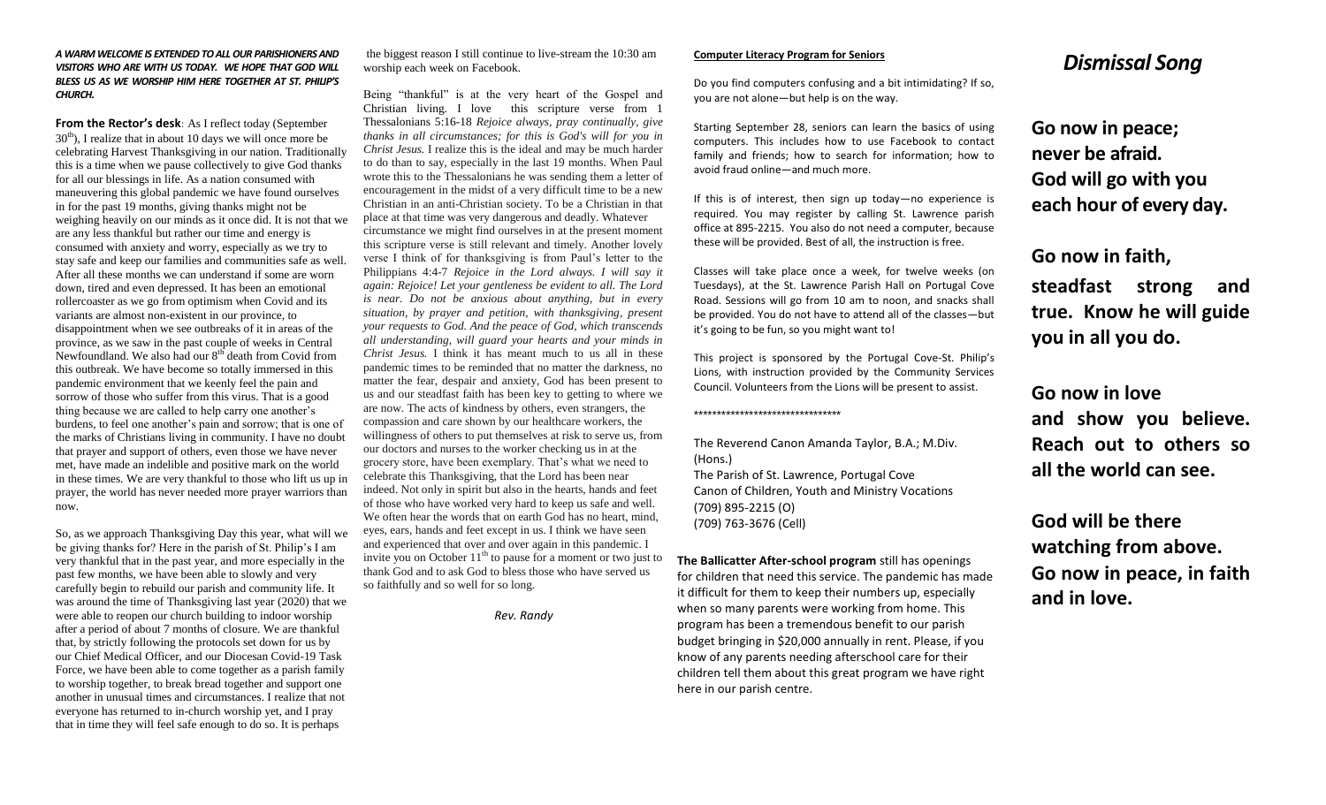#### *A WARM WELCOME IS EXTENDED TO ALL OUR PARISHIONERS AND VISITORS WHO ARE WITH US TODAY. WE HOPE THAT GOD WILL BLESS US AS WE WORSHIP HIM HERE TOGETHER AT ST. PHILIP'S CHURCH.*

**From the Rector's desk**: As I reflect today (September  $30<sup>th</sup>$ ), I realize that in about 10 days we will once more be celebrating Harvest Thanksgiving in our nation. Traditionally this is a time when we pause collectively to give God thanks for all our blessings in life. As a nation consumed with maneuvering this global pandemic we have found ourselves in for the past 19 months, giving thanks might not be weighing heavily on our minds as it once did. It is not that we are any less thankful but rather our time and energy is consumed with anxiety and worry, especially as we try to stay safe and keep our families and communities safe as well. After all these months we can understand if some are worn down, tired and even depressed. It has been an emotional rollercoaster as we go from optimism when Covid and its variants are almost non-existent in our province, to disappointment when we see outbreaks of it in areas of the province, as we saw in the past couple of weeks in Central Newfoundland. We also had our 8<sup>th</sup> death from Covid from this outbreak. We have become so totally immersed in this pandemic environment that we keenly feel the pain and sorrow of those who suffer from this virus. That is a good thing because we are called to help carry one another's burdens, to feel one another's pain and sorrow; that is one of the marks of Christians living in community. I have no doubt that prayer and support of others, even those we have never met, have made an indelible and positive mark on the world in these times. We are very thankful to those who lift us up in prayer, the world has never needed more prayer warriors than now.

So, as we approach Thanksgiving Day this year, what will we be giving thanks for? Here in the parish of St. Philip's I am very thankful that in the past year, and more especially in the past few months, we have been able to slowly and very carefully begin to rebuild our parish and community life. It was around the time of Thanksgiving last year (2020) that we were able to reopen our church building to indoor worship after a period of about 7 months of closure. We are thankful that, by strictly following the protocols set down for us by our Chief Medical Officer, and our Diocesan Covid-19 Task Force, we have been able to come together as a parish family to worship together, to break bread together and support one another in unusual times and circumstances. I realize that not everyone has returned to in-church worship yet, and I pray that in time they will feel safe enough to do so. It is perhaps

the biggest reason I still continue to live-stream the 10:30 am worship each week on Facebook.

Being "thankful" is at the very heart of the Gospel and Christian living. I love this scripture verse from 1 Thessalonians 5:16-18 *Rejoice always, pray continually, give thanks in all circumstances; for this is God's will for you in Christ Jesus.* I realize this is the ideal and may be much harder to do than to say, especially in the last 19 months. When Paul wrote this to the Thessalonians he was sending them a letter of encouragement in the midst of a very difficult time to be a new Christian in an anti-Christian society. To be a Christian in that place at that time was very dangerous and deadly. Whatever circumstance we might find ourselves in at the present moment this scripture verse is still relevant and timely. Another lovely verse I think of for thanksgiving is from Paul's letter to the Philippians 4:4-7 *Rejoice in the Lord always. I will say it again: Rejoice! Let your gentleness be evident to all. The Lord is near. Do not be anxious about anything, but in every situation, by prayer and petition, with thanksgiving, present your requests to God. And the peace of God, which transcends all understanding, will guard your hearts and your minds in Christ Jesus.* I think it has meant much to us all in these pandemic times to be reminded that no matter the darkness, no matter the fear, despair and anxiety, God has been present to us and our steadfast faith has been key to getting to where we are now. The acts of kindness by others, even strangers, the compassion and care shown by our healthcare workers, the willingness of others to put themselves at risk to serve us, from our doctors and nurses to the worker checking us in at the grocery store, have been exemplary. That's what we need to celebrate this Thanksgiving, that the Lord has been near indeed. Not only in spirit but also in the hearts, hands and feet of those who have worked very hard to keep us safe and well. We often hear the words that on earth God has no heart, mind, eyes, ears, hands and feet except in us. I think we have seen and experienced that over and over again in this pandemic. I invite you on October  $11<sup>th</sup>$  to pause for a moment or two just to thank God and to ask God to bless those who have served us so faithfully and so well for so long.

 *Rev. Randy*

#### **Computer Literacy Program for Seniors**

Do you find computers confusing and a bit intimidating? If so, you are not alone—but help is on the way.

Starting September 28, seniors can learn the basics of using computers. This includes how to use Facebook to contact family and friends; how to search for information; how to avoid fraud online—and much more.

If this is of interest, then sign up today—no experience is required. You may register by calling St. Lawrence parish office at 895-2215. You also do not need a computer, because these will be provided. Best of all, the instruction is free.

Classes will take place once a week, for twelve weeks (on Tuesdays), at the St. Lawrence Parish Hall on Portugal Cove Road. Sessions will go from 10 am to noon, and snacks shall be provided. You do not have to attend all of the classes—but it's going to be fun, so you might want to!

This project is sponsored by the Portugal Cove-St. Philip's Lions, with instruction provided by the Community Services Council. Volunteers from the Lions will be present to assist.

\*\*\*\*\*\*\*\*\*\*\*\*\*\*\*\*\*\*\*\*\*\*\*\*\*\*\*\*\*\*\*\*

The Reverend Canon Amanda Taylor, B.A.; M.Div. (Hons.) The Parish of St. Lawrence, Portugal Cove Canon of Children, Youth and Ministry Vocations

(709) 895-2215 (O) (709) 763-3676 (Cell)

**The Ballicatter After-school program** still has openings for children that need this service. The pandemic has made it difficult for them to keep their numbers up, especially when so many parents were working from home. This program has been a tremendous benefit to our parish budget bringing in \$20,000 annually in rent. Please, if you know of any parents needing afterschool care for their children tell them about this great program we have right here in our parish centre.

# *Dismissal Song*

**Go now in peace; never be afraid. God will go with you each hour of every day.**

**Go now in faith, steadfast strong and true. Know he will guide you in all you do.**

**Go now in love and show you believe. Reach out to others so all the world can see.**

**God will be there watching from above. Go now in peace, in faith and in love.**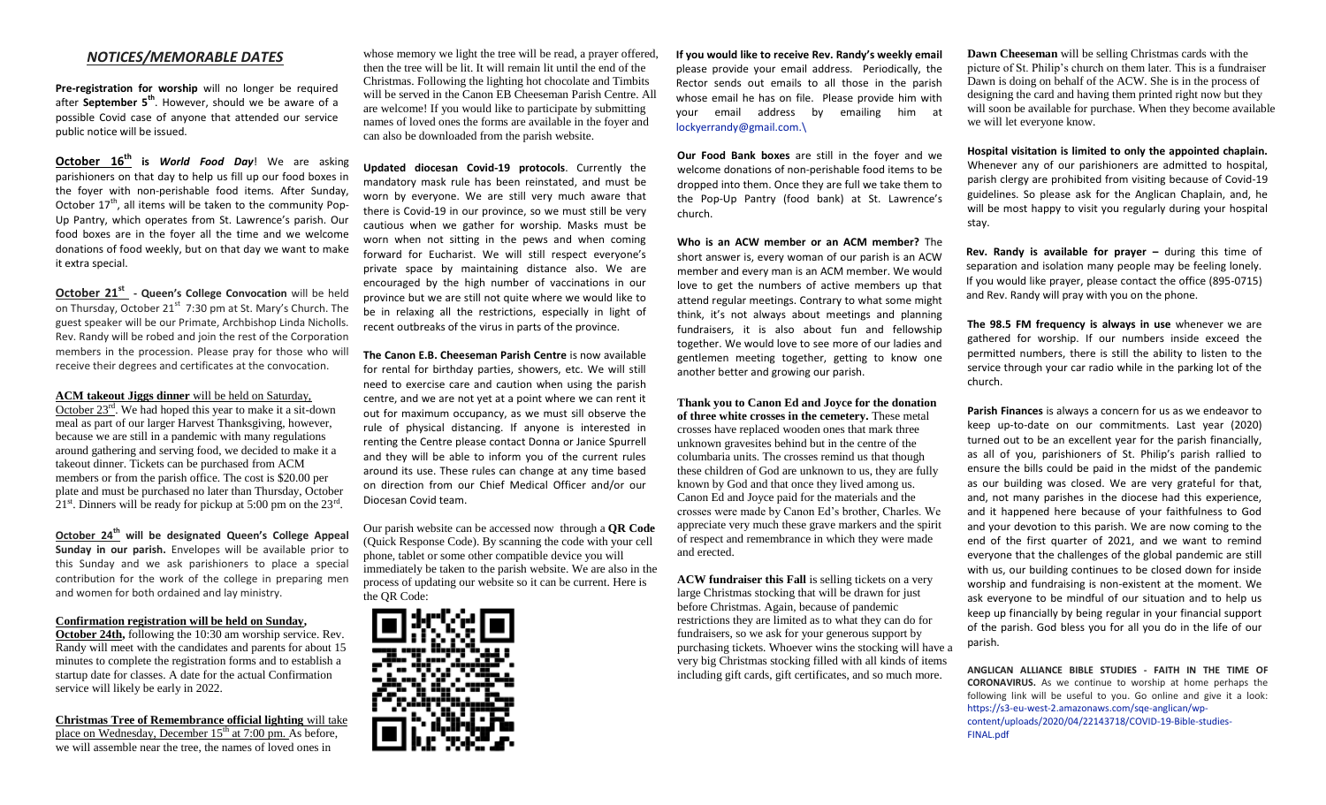### *NOTICES/MEMORABLE DATES*

**Pre-registration for worship** will no longer be required after **September 5th**. However, should we be aware of a possible Covid case of anyone that attended our service public notice will be issued.

**October 16th is** *World Food Day*! We are asking parishioners on that day to help us fill up our food boxes in the foyer with non-perishable food items. After Sunday, October  $17<sup>th</sup>$ , all items will be taken to the community Pop-Up Pantry, which operates from St. Lawrence's parish. Our food boxes are in the foyer all the time and we welcome donations of food weekly, but on that day we want to make it extra special.

**October 21st - Queen's College Convocation** will be held on Thursday, October 21<sup>st</sup> 7:30 pm at St. Mary's Church. The guest speaker will be our Primate, Archbishop Linda Nicholls. Rev. Randy will be robed and join the rest of the Corporation members in the procession. Please pray for those who will receive their degrees and certificates at the convocation.

**ACM takeout Jiggs dinner** will be held on Saturday,

October 23rd. We had hoped this year to make it a sit-down meal as part of our larger Harvest Thanksgiving, however, because we are still in a pandemic with many regulations around gathering and serving food, we decided to make it a takeout dinner. Tickets can be purchased from ACM members or from the parish office. The cost is \$20.00 per plate and must be purchased no later than Thursday, October  $21<sup>st</sup>$ . Dinners will be ready for pickup at 5:00 pm on the 23<sup>rd</sup>.

**October 24th will be designated Queen's College Appeal Sunday in our parish.** Envelopes will be available prior to this Sunday and we ask parishioners to place a special contribution for the work of the college in preparing men and women for both ordained and lay ministry.

### **Confirmation registration will be held on Sunday,**

**October 24th,** following the 10:30 am worship service. Rev. Randy will meet with the candidates and parents for about 15 minutes to complete the registration forms and to establish a startup date for classes. A date for the actual Confirmation service will likely be early in 2022.

**Christmas Tree of Remembrance official lighting** will take place on Wednesday, December  $15<sup>th</sup>$  at 7:00 pm. As before, we will assemble near the tree, the names of loved ones in

whose memory we light the tree will be read, a prayer offered, then the tree will be lit. It will remain lit until the end of the Christmas. Following the lighting hot chocolate and Timbits will be served in the Canon EB Cheeseman Parish Centre. All are welcome! If you would like to participate by submitting names of loved ones the forms are available in the foyer and can also be downloaded from the parish website.

**Updated diocesan Covid-19 protocols**. Currently the mandatory mask rule has been reinstated, and must be worn by everyone. We are still very much aware that there is Covid-19 in our province, so we must still be very cautious when we gather for worship. Masks must be worn when not sitting in the pews and when coming forward for Eucharist. We will still respect everyone's private space by maintaining distance also. We are encouraged by the high number of vaccinations in our province but we are still not quite where we would like to be in relaxing all the restrictions, especially in light of recent outbreaks of the virus in parts of the province.

**The Canon E.B. Cheeseman Parish Centre** is now available for rental for birthday parties, showers, etc. We will still need to exercise care and caution when using the parish centre, and we are not yet at a point where we can rent it out for maximum occupancy, as we must sill observe the rule of physical distancing. If anyone is interested in renting the Centre please contact Donna or Janice Spurrell and they will be able to inform you of the current rules around its use. These rules can change at any time based on direction from our Chief Medical Officer and/or our Diocesan Covid team.

Our parish website can be accessed now through a **QR Code**  (Quick Response Code). By scanning the code with your cell phone, tablet or some other compatible device you will immediately be taken to the parish website. We are also in the process of updating our website so it can be current. Here is the QR Code:



**If you would like to receive Rev. Randy's weekly email**  please provide your email address. Periodically, the Rector sends out emails to all those in the parish whose email he has on file. Please provide him with your email address by emailing him at [lockyerrandy@gmail.com.\](mailto:lockyerrandy@gmail.com./)

**Our Food Bank boxes** are still in the foyer and we welcome donations of non-perishable food items to be dropped into them. Once they are full we take them to the Pop-Up Pantry (food bank) at St. Lawrence's church.

**Who is an ACW member or an ACM member?** The short answer is, every woman of our parish is an ACW member and every man is an ACM member. We would love to get the numbers of active members up that attend regular meetings. Contrary to what some might think, it's not always about meetings and planning fundraisers, it is also about fun and fellowship together. We would love to see more of our ladies and gentlemen meeting together, getting to know one another better and growing our parish.

**Thank you to Canon Ed and Joyce for the donation of three white crosses in the cemetery.** These metal crosses have replaced wooden ones that mark three unknown gravesites behind but in the centre of the columbaria units. The crosses remind us that though these children of God are unknown to us, they are fully known by God and that once they lived among us. Canon Ed and Joyce paid for the materials and the crosses were made by Canon Ed's brother, Charles. We appreciate very much these grave markers and the spirit of respect and remembrance in which they were made and erected.

**ACW fundraiser this Fall** is selling tickets on a very large Christmas stocking that will be drawn for just before Christmas. Again, because of pandemic restrictions they are limited as to what they can do for fundraisers, so we ask for your generous support by purchasing tickets. Whoever wins the stocking will have a very big Christmas stocking filled with all kinds of items including gift cards, gift certificates, and so much more.

**Dawn Cheeseman** will be selling Christmas cards with the picture of St. Philip's church on them later. This is a fundraiser Dawn is doing on behalf of the ACW. She is in the process of designing the card and having them printed right now but they will soon be available for purchase. When they become available we will let everyone know.

**Hospital visitation is limited to only the appointed chaplain.**  Whenever any of our parishioners are admitted to hospital, parish clergy are prohibited from visiting because of Covid-19 guidelines. So please ask for the Anglican Chaplain, and, he will be most happy to visit you regularly during your hospital stay.

**Rev. Randy is available for prayer –** during this time of separation and isolation many people may be feeling lonely. If you would like prayer, please contact the office (895-0715) and Rev. Randy will pray with you on the phone.

**The 98.5 FM frequency is always in use** whenever we are gathered for worship. If our numbers inside exceed the permitted numbers, there is still the ability to listen to the service through your car radio while in the parking lot of the church.

**Parish Finances** is always a concern for us as we endeavor to keep up-to-date on our commitments. Last year (2020) turned out to be an excellent year for the parish financially, as all of you, parishioners of St. Philip's parish rallied to ensure the bills could be paid in the midst of the pandemic as our building was closed. We are very grateful for that, and, not many parishes in the diocese had this experience, and it happened here because of your faithfulness to God and your devotion to this parish. We are now coming to the end of the first quarter of 2021, and we want to remind everyone that the challenges of the global pandemic are still with us, our building continues to be closed down for inside worship and fundraising is non-existent at the moment. We ask everyone to be mindful of our situation and to help us keep up financially by being regular in your financial support of the parish. God bless you for all you do in the life of our parish.

**ANGLICAN ALLIANCE BIBLE STUDIES - FAITH IN THE TIME OF CORONAVIRUS.** As we continue to worship at home perhaps the following link will be useful to you. Go online and give it a look: [https://s3-eu-west-2.amazonaws.com/sqe-anglican/wp](https://s3-eu-west-2.amazonaws.com/sqe-anglican/wp-content/uploads/2020/04/22143718/COVID-19-Bible-studies-FINAL.pdf)[content/uploads/2020/04/22143718/COVID-19-Bible-studies-](https://s3-eu-west-2.amazonaws.com/sqe-anglican/wp-content/uploads/2020/04/22143718/COVID-19-Bible-studies-FINAL.pdf)[FINAL.pdf](https://s3-eu-west-2.amazonaws.com/sqe-anglican/wp-content/uploads/2020/04/22143718/COVID-19-Bible-studies-FINAL.pdf)